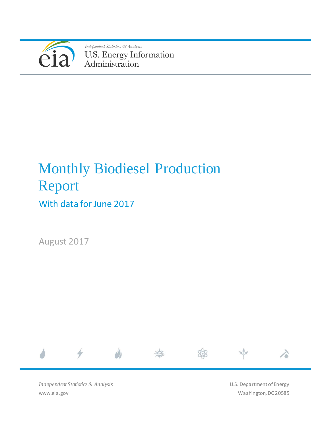

Independent Statistics & Analysis U.S. Energy Information<br>Administration

# Monthly Biodiesel Production Report

With data for June 2017

August 2017



*Independent Statistics & Analysis* www.eia.gov

U.S. Department of Energy Washington, DC 20585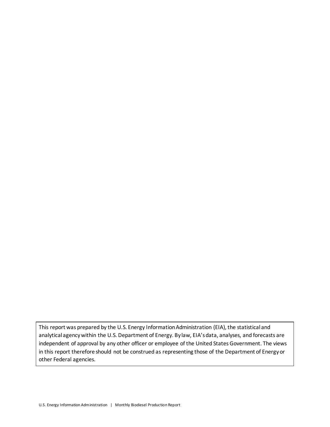This report was prepared by the U.S. Energy Information Administration (EIA), the statistical and analytical agency within the U.S. Department of Energy. By law, EIA's data, analyses, and forecasts are independent of approval by any other officer or employee of the United States Government. The views in this report therefore should not be construed as representing those of the Department of Energy or other Federal agencies.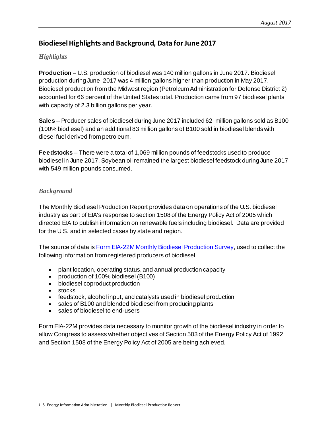# **Biodiesel Highlights and Background, Data for June2017**

### *Highlights*

**Production** – U.S. production of biodiesel was 140 million gallons in June 2017. Biodiesel production during June 2017 was 4 million gallons higher than production in May 2017. Biodiesel production from the Midwest region (Petroleum Administration for Defense District 2) accounted for 66 percent of the United States total. Production came from 97 biodiesel plants with capacity of 2.3 billion gallons per year.

**Sales** – Producer sales of biodiesel during June 2017 included 62 million gallons sold as B100 (100% biodiesel) and an additional 83 million gallons of B100 sold in biodiesel blends with diesel fuel derived from petroleum.

**Feedstocks** – There were a total of 1,069 million pounds of feedstocks used to produce biodiesel in June 2017. Soybean oil remained the largest biodiesel feedstock during June 2017 with 549 million pounds consumed.

## *Background*

The Monthly Biodiesel Production Report provides data on operations of the U.S. biodiesel industry as part of EIA's response to section 1508 of the Energy Policy Act of 2005 which directed EIA to publish information on renewable fuels including biodiesel. Data are provided for the U.S. and in selected cases by state and region.

The source of data is [Form EIA-22M Monthly Biodiesel Production Survey,](http://www.eia.gov/survey/#eia-22m) used to collect the following information from registered producers of biodiesel.

- plant location, operating status, and annual production capacity
- production of 100% biodiesel (B100)
- biodiesel coproduct production
- stocks
- feedstock, alcohol input, and catalysts used in biodiesel production
- sales of B100 and blended biodiesel from producing plants
- sales of biodiesel to end-users

Form EIA-22M provides data necessary to monitor growth of the biodiesel industry in order to allow Congress to assess whether objectives of Section 503 of the Energy Policy Act of 1992 and Section 1508 of the Energy Policy Act of 2005 are being achieved.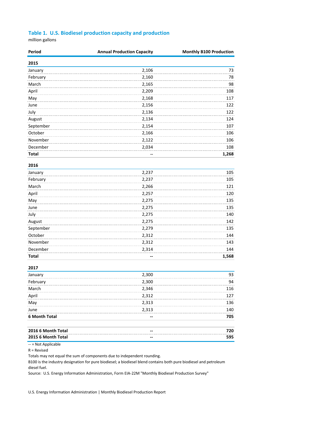#### **Table 1. U.S. Biodiesel production capacity and production**

million gallons

| Period       | <b>Annual Production Capacity</b> | <b>Monthly B100 Production</b> |
|--------------|-----------------------------------|--------------------------------|
| 2015         |                                   |                                |
| January      | 2,106                             | 73                             |
| February     | 2,160                             | 78                             |
| March        | 2,165                             | 98                             |
| April        | 2,209                             | 108                            |
| May          | 2,168                             | 117                            |
| June         | 2,156                             | 122                            |
| July         | 2,136                             | 122                            |
| August       | 2,134                             | 124                            |
| September    | 2,154                             | 107                            |
| October      | 2,166                             | 106                            |
| November     | 2,122                             | 106                            |
| December     | 2,034                             | 108                            |
| <b>Total</b> |                                   | 1,268                          |

| 2016      |       |       |
|-----------|-------|-------|
| January   | 2,237 | 105   |
| February  | 2,237 | 105   |
| March     | 2,266 | 121   |
| April     | 2,257 | 120   |
| May       | 2,275 | 135   |
| June      | 2,275 | 135   |
| July      | 2,275 | 140   |
| August    | 2,275 | 142   |
| September | 2,279 | 135   |
| October   | 2,312 | 144   |
| November  | 2,312 | 143   |
| December  | 2,314 | 144   |
| Total     | --    | 1,568 |

#### **2017**

| January              | 2,300 | 93  |
|----------------------|-------|-----|
| February             | 2,300 | 94  |
| March                | 2,346 | 116 |
| April                | 2,312 | 127 |
| May                  | 2,313 | 136 |
| June                 | 2,313 | 140 |
| <b>6 Month Total</b> | --    | 705 |
| 2016 6 Month Total   | --    | 720 |
| 2015 6 Month Total   |       | 595 |

-- = Not Applicable

R = Revised

Totals may not equal the sum of components due to independent rounding.

B100 is the industry designation for pure biodiesel; a biodiesel blend contains both pure biodiesel and petroleum diesel fuel.

Source: U.S. Energy Information Administration, Form EIA-22M "Monthly Biodiesel Production Survey"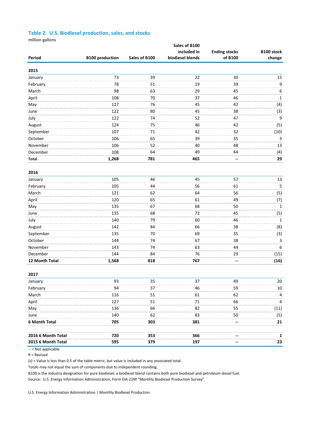#### **Table 2. U.S. Biodiesel production, sales, and stocks**

million gallons

|                      |                        |               | Sales of B100<br>included in | <b>Ending stocks</b> | B100 stock   |
|----------------------|------------------------|---------------|------------------------------|----------------------|--------------|
| Period               | <b>B100 production</b> | Sales of B100 | biodiesel blends             | of B100              | change       |
| 2015                 |                        |               |                              |                      |              |
| January              | 73                     | 39            | 22                           | 30                   | 15           |
| February             | 78                     | 51            | 19                           | 39                   | 9            |
| March                | 98                     | 63            | 29                           | 45                   | 6            |
| April                | 108                    | 70            | 37                           | 46                   | $\mathbf{1}$ |
| May                  | 117                    | 76            | 45                           | 42                   | (4)          |
| June                 | 122                    | 80            | 45                           | 38                   | (3)          |
| July                 | 122                    | 74            | 52                           | 47                   | 9            |
| August               | 124                    | 75            | 46                           | 42                   | (5)          |
| September            | 107                    | 71            | 42                           | 32                   | (10)         |
| October              | 106                    | 65            | 39                           | 35                   | 3            |
| November             | 106                    | 52            | 40                           | 48                   | 13           |
| December             | 108                    | 64            | 49                           | 44                   | (4)          |
| <b>Total</b>         | 1,268                  | 781           | 465                          |                      | 29           |
|                      |                        |               |                              |                      |              |
| 2016                 |                        |               |                              |                      |              |
| January              | 105                    | 46            | 45                           | 57                   | 13           |
| February             | 105                    | 44            | 56                           | 61                   | 5            |
| March                | 121                    | 62            | 64                           | 56                   | (5)          |
| April                | 120                    | 65            | 61                           | 49                   | (7)          |
| May                  | 135                    | 67            | 68                           | 50                   | $1\,$        |
| June                 | 135                    | 68            | 72                           | 45                   | (5)          |
| July                 | 140                    | 79            | 60                           | 46                   | $\mathbf 1$  |
| August               | 142                    | 84            | 66                           | 38                   | (8)          |
| September            | 135                    | 70            | 69                           | 35                   | (3)          |
| October              | 144                    | 74            | 67                           | 38                   | 3            |
| November             | 143                    | 74            | 63                           | 44                   | $\,6\,$      |
| December             | 144                    | 84            | 76                           | 29                   | (15)         |
| 12 Month Total       | 1,568                  | 818           | 767                          |                      | (16)         |
| 2017                 |                        |               |                              |                      |              |
| January              | 93                     | 35            | 37                           | 49                   | 20           |
| February             | 94                     | 37            | 46                           | 59                   | 10           |
| March                | 116                    | 51            | 61                           | 62                   | 4            |
| April                | 127                    | 51            | 71                           | 66                   | 4            |
| May                  | 136                    | 66            | 82                           | 55                   | (11)         |
| June                 | 140                    | 62            | 83                           | 50                   | (5)          |
| 6 Month Total        | 705                    | 303           | 381                          |                      | 21           |
|                      |                        |               |                              |                      |              |
| 2016 6 Month Total   | 720                    | 353           | 366                          |                      | 1            |
| 2015 6 Month Total   | 595                    | 379           | 197                          |                      | 23           |
| $-$ = Not applicable |                        |               |                              |                      |              |

app

R = Revised

(s) = Value is less than 0.5 of the table metric, but value is included in any associated total.

Totals may not equal the sum of components due to independent rounding.

B100 is the industry designation for pure biodiesel; a biodiesel blend contains both pure biodiesel and petroleum diesel fuel.

Source: U.S. Energy Information Administration, Form EIA-22M "Monthly Biodiesel Production Survey"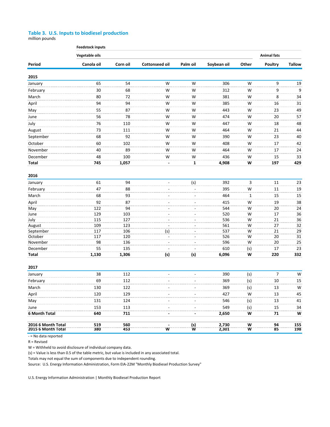#### **Table 3. U.S. Inputs to biodiesel production**

million pounds

|                                          | <b>Feedstock inputs</b>              |            |                       |               |                |        |                |               |  |
|------------------------------------------|--------------------------------------|------------|-----------------------|---------------|----------------|--------|----------------|---------------|--|
|                                          | Vegetable oils<br><b>Animal fats</b> |            |                       |               |                |        |                |               |  |
| Period                                   | Canola oil                           | Corn oil   | <b>Cottonseed oil</b> | Palm oil      | Soybean oil    | Other  | <b>Poultry</b> | <b>Tallow</b> |  |
| 2015                                     |                                      |            |                       |               |                |        |                |               |  |
| January                                  | 65                                   | 54         | W                     | W             | 306            | W      | 9              | 19            |  |
| February                                 | 30                                   | 68         | W                     | W             | 312            | W      | 9              | 9             |  |
| March                                    | 80                                   | 72         | W                     | W             | 381            | W      | 8              | 34            |  |
| April                                    | 94                                   | 94         | W                     | W             | 385            | W      | 16             | 31            |  |
| May                                      | 55                                   | 87         | W                     | W             | 443            | W      | 23             | 49            |  |
| June                                     | 56                                   | 78         | W                     | W             | 474            | W      | 20             | 57            |  |
| July                                     | 76                                   | 110        | W                     | W             | 447            | W      | 18             | 48            |  |
| August                                   | 73                                   | 111        | W                     | W             | 464            | W      | 21             | 44            |  |
| September                                | 68                                   | 92         | W                     | W             | 390            | W      | 23             | 40            |  |
| October                                  | 60                                   | 102        | W                     | W             | 408            | W      | 17             | 42            |  |
| November                                 | 40                                   | 89         | W                     | W             | 464            | W      | 17             | 24            |  |
| December                                 | 48                                   | 100        | W                     | W             | 436            | W      | 15             | 33            |  |
| Total                                    | 745                                  | 1,057      |                       | 1             | 4,908          | W      | 197            | 429           |  |
|                                          |                                      |            |                       |               |                |        |                |               |  |
| 2016                                     |                                      |            |                       |               |                |        |                |               |  |
| January                                  | 61                                   | 94         | $\overline{a}$        | (s)           | 392            | 3      | 11             | 23            |  |
| February                                 | 47                                   | 88         |                       |               | 395            | W      | 11             | 19            |  |
| March                                    | 68                                   | 93         |                       |               | 464            | 1      | 15             | 15            |  |
| April                                    | 92                                   | 87         |                       |               | 415            | W      | 19             | 38            |  |
| May                                      | 122                                  | 94         |                       |               | 544            | W      | 20             | 24            |  |
| June                                     | 129                                  | 103        |                       |               | 520            | W      | 17             | 36            |  |
| July                                     | 115                                  | 127        |                       |               | 536            | W      | 21             | 36            |  |
| August                                   | 109                                  | 123        |                       |               | 561            | W      | 27             | 32            |  |
| September                                | 117                                  | 106        | (s)                   |               | 537            | W      | 21             | 29            |  |
| October                                  | 117                                  | 120        |                       |               | 526            | W      | 20             | 31            |  |
| November                                 | 98                                   | 136        |                       |               | 596            | W      | 20             | 25            |  |
| December                                 | 55                                   | 135        |                       |               | 610            | (s)    | 17             | 23            |  |
| <b>Total</b>                             | 1,130                                | 1,306      | (s)                   | (s)           | 6,096          | W      | 220            | 332           |  |
| 2017                                     |                                      |            |                       |               |                |        |                |               |  |
| January                                  | 38                                   | 112        |                       | ÷.            | 390            | (s)    | $\overline{7}$ | W             |  |
| February                                 | 69                                   | 112        |                       |               | 369            | (s)    | $10\,$         | 15            |  |
| March                                    | 130                                  | 122        |                       |               | 369            | (s)    | 13             | W             |  |
|                                          |                                      |            |                       |               |                |        |                |               |  |
| April                                    | 120                                  | 129        |                       |               | 427            | W      | 13             | 45            |  |
| May                                      | 131                                  | 124        |                       |               | 546            | (s)    | 13             | 41            |  |
| June                                     | 153                                  | 113        |                       |               | 549            | (s)    | 15             | 34            |  |
| 6 Month Total                            | 640                                  | 711        |                       |               | 2,650          | W      | 71             | W             |  |
| 2016 6 Month Total<br>2015 6 Month Total | 519<br>380                           | 560<br>453 | W                     | $\frac{1}{N}$ | 2,730<br>2,301 | W<br>W | 94<br>85       | 155<br>198    |  |
| - = No data reported                     |                                      |            |                       |               |                |        |                |               |  |

R = Revised

W = Withheld to avoid disclosure of individual company data.

(s) = Value is less than 0.5 of the table metric, but value is included in any associated total.

Totals may not equal the sum of components due to independent rounding.

Source: U.S. Energy Information Administration, Form EIA-22M "Monthly Biodiesel Production Survey"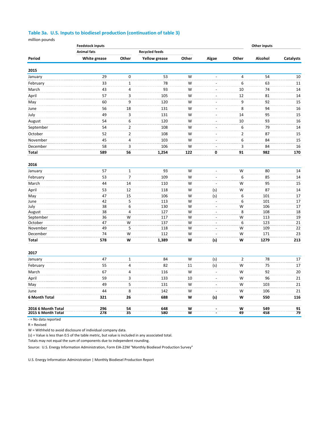#### **Table 3a. U.S. Inputs to biodiesel production (continuation of table 3)**

million pounds

|                                          | <b>Feedstock inputs</b> |                |                       | Other inputs |                          |                         |            |                 |
|------------------------------------------|-------------------------|----------------|-----------------------|--------------|--------------------------|-------------------------|------------|-----------------|
|                                          | <b>Animal fats</b>      |                | <b>Recycled feeds</b> |              |                          |                         |            |                 |
| Period                                   | White grease            | Other          | <b>Yellow grease</b>  | Other        | Algae                    | Other                   | Alcohol    | Catalysts       |
| 2015                                     |                         |                |                       |              |                          |                         |            |                 |
| January                                  | 29                      | $\pmb{0}$      | 53                    | W            | ÷,                       | $\overline{\mathbf{4}}$ | 54         | 10              |
| February                                 | 33                      | $\mathbf{1}$   | 78                    | W            | $\overline{a}$           | 6                       | 63         | 11              |
| March                                    | 43                      | 4              | 93                    | W            | $\overline{\phantom{a}}$ | 10                      | 74         | 14              |
| April                                    | 57                      | 3              | 105                   | W            | ÷,                       | 12                      | 81         | 14              |
| May                                      | 60                      | 9              | 120                   | W            |                          | 9                       | 92         | 15              |
| June                                     | 56                      | 18             | 131                   | W            | $\overline{a}$           | 8                       | 94         | 16              |
| July                                     | 49                      | 3              | 131                   | W            | ÷,                       | 14                      | 95         | 15              |
| August                                   | 54                      | 6              | 120                   | W            | $\overline{a}$           | 10                      | 93         | 16              |
| September                                | 54                      | $\overline{2}$ | 108                   | W            | $\overline{a}$           | 6                       | 79         | 14              |
| October                                  | 52                      | $\overline{2}$ | 108                   | W            | $\overline{a}$           | 2                       | 87         | 15              |
| November                                 | 45                      | 4              | 103                   | W            | $\overline{a}$           | 6                       | 84         | 15              |
| December                                 | 58                      | 3              | 106                   | W            | $\bar{\phantom{a}}$      | 3                       | 84         | 16              |
| <b>Total</b>                             | 589                     | 56             | 1,254                 | 122          | 0                        | 91                      | 982        | 170             |
| 2016                                     |                         |                |                       |              |                          |                         |            |                 |
| January                                  | 57                      | $1\,$          | 93                    | W            | $\overline{\phantom{a}}$ | W                       | 80         | 14              |
| February                                 | 53                      | 7              | 109                   | W            | $\overline{\phantom{a}}$ | 6                       | 85         | 14              |
| March                                    | 44                      | 14             | 110                   | W            | $\overline{a}$           | W                       | 95         | 15              |
| April                                    | 53                      | 12             | 118                   | W            | (s)                      | W                       | 87         | 14              |
| May                                      | 47                      | 15             | 106                   | W            | (s)                      | 6                       | 101        | 17              |
| June                                     | 42                      | 5              | 113                   | W            | $\overline{\phantom{a}}$ | 6                       | 101        | $17\,$          |
| July                                     | 38                      | 6              | 130                   | W            | $\overline{a}$           | W                       | 106        | 17              |
| August                                   | 38                      | 4              | 127                   | W            | $\overline{a}$           | 8                       | 108        | 18              |
| September                                | 36                      | W              | 117                   | W            | $\overline{\phantom{a}}$ | W                       | 113        | 19              |
| October                                  | 47                      | W              | 137                   | W            | $\overline{a}$           | 6                       | 123        | $\overline{21}$ |
| November                                 | 49                      | 5              | 118                   | W            | ÷,                       | W                       | 109        | 22              |
| December                                 | 74                      | W              | 112                   | W            | $\overline{a}$           | W                       | 171        | 23              |
| <b>Total</b>                             | 578                     | W              | 1,389                 | W            | (s)                      | W                       | 1279       | 213             |
| 2017                                     |                         |                |                       |              |                          |                         |            |                 |
| January                                  | 47                      | $\mathbf{1}$   | 84                    | W            | (s)                      | $\overline{2}$          | 78         | 17              |
| February                                 | 55                      | 4              | 82                    | 11           | (s)                      | W                       | 75         | 17              |
| March                                    | 67                      | 4              | 116                   | W            | $\overline{\phantom{a}}$ | W                       | 92         | 20              |
| April                                    | 59                      | 3              | 133                   | 10           | $\overline{a}$           | W                       | 96         | 21              |
| May                                      | 49                      | 5              | 131                   | W            |                          | W                       | 103        | 21              |
| June                                     | 44                      | 8              | 142                   | W            | $\overline{\phantom{a}}$ | W                       | 106        | 21              |
| 6 Month Total                            | 321                     | 26             | 688                   | W            | (s)                      | W                       | 550        | 116             |
| 2016 6 Month Total<br>2015 6 Month Total | 296<br>278              | 54<br>35       | 648<br>580            | W<br>W       |                          | W<br>49                 | 549<br>458 | 91<br>79        |
| - = No data reported                     |                         |                |                       |              |                          |                         |            |                 |

R = Revised

W = Withheld to avoid disclosure of individual company data.

(s) = Value is less than 0.5 of the table metric, but value is included in any associated total.

Totals may not equal the sum of components due to independent rounding.

Source: U.S. Energy Information Administration, Form EIA-22M "Monthly Biodiesel Production Survey"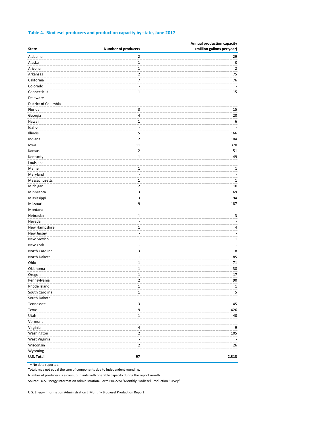| <b>State</b>         | <b>Number of producers</b> | Annual production capacity<br>(million gallons per year) |
|----------------------|----------------------------|----------------------------------------------------------|
| Alabama              | $\overline{2}$             | 29                                                       |
| Alaska               | $\mathbf{1}$               | 0                                                        |
| Arizona              | $\mathbf{1}$               | 2                                                        |
| Arkansas             | 2                          | 75                                                       |
| California           | 7                          | 76                                                       |
| Colorado             | ×.                         |                                                          |
| Connecticut          | 1                          | 15                                                       |
| Delaware             |                            |                                                          |
| District of Columbia |                            |                                                          |
| Florida              | 3                          | 15                                                       |
| Georgia              | 4                          | 20                                                       |
| Hawaii               | 1                          | 6                                                        |
| Idaho                | ÷                          |                                                          |
| Illinois             | 5                          | 166                                                      |
| Indiana              | $\overline{2}$             | 104                                                      |
| lowa                 | 11                         | 370                                                      |
| Kansas               | 2                          | 51                                                       |
| Kentucky             | $\mathbf{1}$               | 49                                                       |
| Louisiana            | ٠                          |                                                          |
| Maine                | 1                          | 1                                                        |
| Maryland             |                            | ä,                                                       |
| Massachusetts        | 1                          | 1                                                        |
| Michigan             | 2                          | 10                                                       |
| Minnesota            | 3                          | 69                                                       |
| Mississippi          | 3                          | 94                                                       |
| Missouri             | 9                          | 187                                                      |
| Montana              | ٠                          |                                                          |
| Nebraska             | $\mathbf{1}$               | 3                                                        |
| Nevada               | ×.                         | ä,                                                       |
| New Hampshire        | 1                          | 4                                                        |
| New Jersey           | ä,                         | ÷,                                                       |
| New Mexico           | 1                          | $\mathbf 1$                                              |
| New York             |                            |                                                          |
| North Carolina       | 3                          | 8                                                        |
| North Dakota         | $\mathbf{1}$               | 85                                                       |
| Ohio                 | $\mathbf{1}$               | 71                                                       |
| Oklahoma             | $\mathbf{1}$               | 38                                                       |
| Oregon               | 1                          | 17                                                       |
| Pennsylvania         | 2                          | 90                                                       |
| Rhode Island         | $\mathbf 1$                |                                                          |
| South Carolina       | $\mathbf{1}$               | $\overline{1}$<br>5                                      |
| South Dakota         |                            |                                                          |
| Tennessee            |                            | 45                                                       |
|                      | 3                          |                                                          |
| Texas<br>Utah        | 9                          | 426                                                      |
|                      | $\mathbf{1}$<br>$\sim$     | 40                                                       |
| Vermont              |                            |                                                          |
| Virginia             | 4                          | 9                                                        |
| Washington           | 2                          | 105                                                      |
| West Virginia        | ٠                          |                                                          |
| Wisconsin            | 2                          | 26                                                       |
| Wyoming              |                            |                                                          |
| U.S. Total           | 97                         | 2,313                                                    |

#### **Table 4. Biodiesel producers and production capacity by state, June 2017**

- = No data reported.

Totals may not equal the sum of components due to independent rounding.

Number of producers is a count of plants with operable capacity during the report month.

Source: U.S. Energy Information Administration, Form EIA-22M "Monthly Biodiesel Production Survey"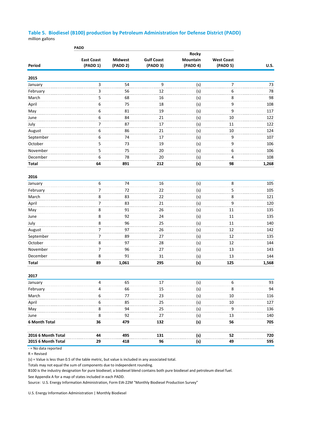#### **Table 5. Biodiesel (B100) production by Petroleum Administration for Defense District (PADD)** million gallons

|                    | <b>PADD</b>       |                |                   |          |                   |             |
|--------------------|-------------------|----------------|-------------------|----------|-------------------|-------------|
|                    |                   |                |                   | Rocky    |                   |             |
|                    | <b>East Coast</b> | <b>Midwest</b> | <b>Gulf Coast</b> | Mountain | <b>West Coast</b> |             |
| Period             | (PADD 1)          | (PADD 2)       | (PADD 3)          | (PADD 4) | (PADD 5)          | <b>U.S.</b> |
| 2015               |                   |                |                   |          |                   |             |
| January            | 3                 | 54             | 9                 | (s)      | 7                 | 73          |
| February           | 3                 | 56             | 12                | (s)      | 6                 | 78          |
| March              | 5                 | 68             | 16                | (s)      | 8                 | 98          |
| April              | 6                 | 75             | 18                | (s)      | 9                 | 108         |
| May                | 6                 | 81             | 19                | (s)      | 9                 | 117         |
| June               | 6                 | 84             | 21                | (s)      | 10                | 122         |
| July               | 7                 | 87             | 17                | (s)      | 11                | 122         |
| August             | 6                 | 86             | 21                | (s)      | 10                | 124         |
| September          | 6                 | 74             | 17                | (s)      | 9                 | 107         |
| October            | 5                 | 73             | 19                | (s)      | 9                 | 106         |
| November           | 5                 | 75             | 20                | (s)      | 6                 | 106         |
| December           | 6                 | 78             | 20                | (s)      | 4                 | 108         |
| <b>Total</b>       | 64                | 891            | 212               | (s)      | 98                | 1,268       |
|                    |                   |                |                   |          |                   |             |
| 2016<br>January    | 6                 | 74             | 16                | (s)      | 8                 | 105         |
| February           | 7                 | 72             | 22                | (s)      | 5                 | 105         |
| March              | 8                 | 83             | 22                | (s)      | 8                 | 121         |
| April              | 7                 | 83             | 21                | (s)      | 9                 | 120         |
| May                | 8                 | 91             | 26                | (s)      | 11                | 135         |
| June               | 8                 | 92             | 24                | (s)      | 11                | 135         |
| July               | 8                 | 96             | 25                | (s)      | 11                | 140         |
| August             | 7                 | 97             | 26                | (s)      | 12                | 142         |
| September          | 7                 | 89             | 27                | (s)      | 12                | 135         |
| October            | 8                 | 97             | 28                | (s)      | 12                | 144         |
| November           | 7                 | 96             | 27                | (s)      | 13                | 143         |
| December           | 8                 | 91             | 31                | (s)      | 13                | 144         |
| Total              | 89                | 1,061          | 295               | (s)      | 125               | 1,568       |
|                    |                   |                |                   |          |                   |             |
| 2017               |                   |                |                   |          |                   |             |
| January            | 4                 | 65             | 17                | (s)      | 6                 | 93          |
| February           | 4                 | 66             | 15                | (s)      | 8                 | 94          |
| March              | 6                 | 77             | 23                | (s)      | 10                | 116         |
| April              | 6                 | 85             | 25                | (s)      | 10                | 127         |
| May                | 8                 | 94             | 25                | (s)      | 9                 | 136         |
| June               | 8                 | 92             | 27                | (s)      | 13                | 140         |
| 6 Month Total      | 36                | 479            | 132               | (s)      | 56                | 705         |
|                    |                   |                |                   |          |                   |             |
| 2016 6 Month Total | 44                | 495            | 131               | (s)      | 52                | 720         |
| 2015 6 Month Total | 29                | 418            | 96                | (s)      | 49                | 595         |

- = No data reported

R = Revised

(s) = Value is less than 0.5 of the table metric, but value is included in any associated total.

Totals may not equal the sum of components due to independent rounding.

B100 is the industry designation for pure biodiesel; a biodiesel blend contains both pure biodiesel and petroleum diesel fuel.

See Appendix A for a map of states included in each PADD.

Source: U.S. Energy Information Administration, Form EIA-22M "Monthly Biodiesel Production Survey"

U.S. Energy Information Administration | Monthly Biodiesel